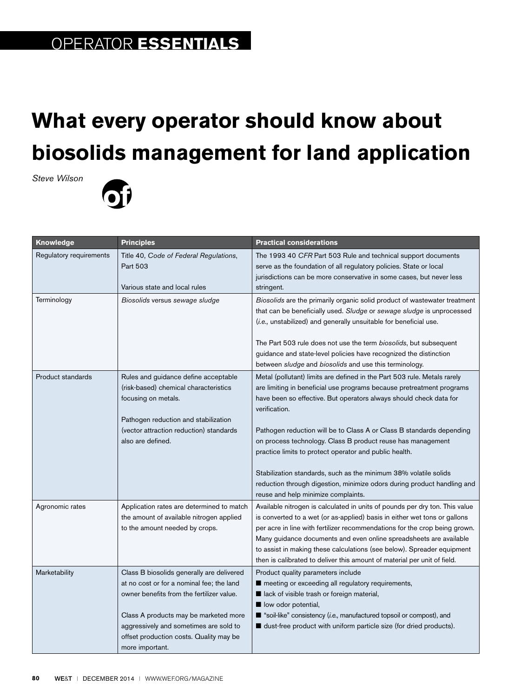## **OPERATOR ESSENTIALS**

## **What every operator should know about biosolids management for land application**

*Steve Wilson*



| <b>Knowledge</b>        | <b>Principles</b>                                                                                                                                                                                                                                                                    | <b>Practical considerations</b>                                                                                                                                                                                                                                                                                                                                                                                                                                                                                                                                                                                                 |
|-------------------------|--------------------------------------------------------------------------------------------------------------------------------------------------------------------------------------------------------------------------------------------------------------------------------------|---------------------------------------------------------------------------------------------------------------------------------------------------------------------------------------------------------------------------------------------------------------------------------------------------------------------------------------------------------------------------------------------------------------------------------------------------------------------------------------------------------------------------------------------------------------------------------------------------------------------------------|
| Regulatory requirements | Title 40, Code of Federal Regulations,<br>Part 503<br>Various state and local rules                                                                                                                                                                                                  | The 1993 40 CFR Part 503 Rule and technical support documents<br>serve as the foundation of all regulatory policies. State or local<br>jurisdictions can be more conservative in some cases, but never less<br>stringent.                                                                                                                                                                                                                                                                                                                                                                                                       |
| Terminology             | Biosolids versus sewage sludge                                                                                                                                                                                                                                                       | Biosolids are the primarily organic solid product of wastewater treatment<br>that can be beneficially used. Sludge or sewage sludge is unprocessed<br>(i.e., unstabilized) and generally unsuitable for beneficial use.<br>The Part 503 rule does not use the term biosolids, but subsequent<br>guidance and state-level policies have recognized the distinction<br>between sludge and biosolids and use this terminology.                                                                                                                                                                                                     |
| Product standards       | Rules and guidance define acceptable<br>(risk-based) chemical characteristics<br>focusing on metals.<br>Pathogen reduction and stabilization<br>(vector attraction reduction) standards<br>also are defined.                                                                         | Metal (pollutant) limits are defined in the Part 503 rule. Metals rarely<br>are limiting in beneficial use programs because pretreatment programs<br>have been so effective. But operators always should check data for<br>verification.<br>Pathogen reduction will be to Class A or Class B standards depending<br>on process technology. Class B product reuse has management<br>practice limits to protect operator and public health.<br>Stabilization standards, such as the minimum 38% volatile solids<br>reduction through digestion, minimize odors during product handling and<br>reuse and help minimize complaints. |
| Agronomic rates         | Application rates are determined to match<br>the amount of available nitrogen applied<br>to the amount needed by crops.                                                                                                                                                              | Available nitrogen is calculated in units of pounds per dry ton. This value<br>is converted to a wet (or as-applied) basis in either wet tons or gallons<br>per acre in line with fertilizer recommendations for the crop being grown.<br>Many guidance documents and even online spreadsheets are available<br>to assist in making these calculations (see below). Spreader equipment<br>then is calibrated to deliver this amount of material per unit of field.                                                                                                                                                              |
| Marketability           | Class B biosolids generally are delivered<br>at no cost or for a nominal fee; the land<br>owner benefits from the fertilizer value.<br>Class A products may be marketed more<br>aggressively and sometimes are sold to<br>offset production costs. Quality may be<br>more important. | Product quality parameters include<br>meeting or exceeding all regulatory requirements,<br>lack of visible trash or foreign material,<br>low odor potential,<br>■ "soil-like" consistency (i.e., manufactured topsoil or compost), and<br>dust-free product with uniform particle size (for dried products).                                                                                                                                                                                                                                                                                                                    |